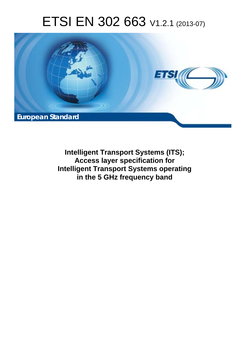# ETSI EN 302 663 V1.2.1 (2013-07)



**Intelligent Transport Systems (ITS); Access layer specification for Intelligent Transport Systems operating in the 5 GHz frequency band**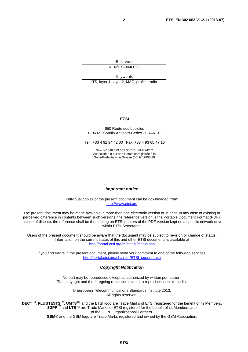Reference REN/ITS-0040028

Keywords ITS, layer 1, layer 2, MAC, profile, radio

#### *ETSI*

#### 650 Route des Lucioles F-06921 Sophia Antipolis Cedex - FRANCE

Tel.: +33 4 92 94 42 00 Fax: +33 4 93 65 47 16

Siret N° 348 623 562 00017 - NAF 742 C Association à but non lucratif enregistrée à la Sous-Préfecture de Grasse (06) N° 7803/88

#### *Important notice*

Individual copies of the present document can be downloaded from: [http://www.etsi.org](http://www.etsi.org/)

The present document may be made available in more than one electronic version or in print. In any case of existing or perceived difference in contents between such versions, the reference version is the Portable Document Format (PDF). In case of dispute, the reference shall be the printing on ETSI printers of the PDF version kept on a specific network drive within ETSI Secretariat.

Users of the present document should be aware that the document may be subject to revision or change of status. Information on the current status of this and other ETSI documents is available at <http://portal.etsi.org/tb/status/status.asp>

If you find errors in the present document, please send your comment to one of the following services: [http://portal.etsi.org/chaircor/ETSI\\_support.asp](http://portal.etsi.org/chaircor/ETSI_support.asp)

#### *Copyright Notification*

No part may be reproduced except as authorized by written permission. The copyright and the foregoing restriction extend to reproduction in all media.

> © European Telecommunications Standards Institute 2013. All rights reserved.

**DECT**TM, **PLUGTESTS**TM, **UMTS**TM and the ETSI logo are Trade Marks of ETSI registered for the benefit of its Members. **3GPP**TM and **LTE**™ are Trade Marks of ETSI registered for the benefit of its Members and of the 3GPP Organizational Partners.

**GSM**® and the GSM logo are Trade Marks registered and owned by the GSM Association.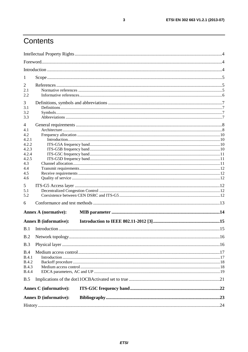# Contents

|                                     | <b>Annex D</b> (informative): |  |
|-------------------------------------|-------------------------------|--|
|                                     | <b>Annex C</b> (informative): |  |
| B.5                                 |                               |  |
| <b>B.4.3</b><br><b>B.4.4</b>        |                               |  |
| B.4<br><b>B.4.1</b><br><b>B.4.2</b> |                               |  |
| B.3                                 |                               |  |
| B.2                                 |                               |  |
| B.1                                 |                               |  |
|                                     | <b>Annex B (informative):</b> |  |
|                                     | <b>Annex A (normative):</b>   |  |
| 6                                   |                               |  |
| 5.1<br>5.2                          |                               |  |
| 5                                   |                               |  |
| 4.6                                 |                               |  |
| 4.4<br>4.5                          |                               |  |
| 4.2.5<br>4.3                        |                               |  |
| 4.2.4                               |                               |  |
| 4.2.2<br>4.2.3                      |                               |  |
| 4.2.1                               |                               |  |
| 4.1<br>4.2                          |                               |  |
| 4                                   |                               |  |
| 3.2<br>3.3                          |                               |  |
| 3.1                                 |                               |  |
| 3                                   |                               |  |
| 2.1<br>2.2                          |                               |  |
| 2                                   |                               |  |
| $\mathbf{I}$                        |                               |  |
|                                     |                               |  |
|                                     |                               |  |
|                                     |                               |  |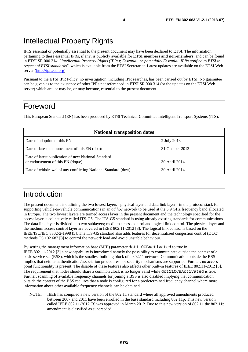## Intellectual Property Rights

IPRs essential or potentially essential to the present document may have been declared to ETSI. The information pertaining to these essential IPRs, if any, is publicly available for **ETSI members and non-members**, and can be found in ETSI SR 000 314: *"Intellectual Property Rights (IPRs); Essential, or potentially Essential, IPRs notified to ETSI in respect of ETSI standards"*, which is available from the ETSI Secretariat. Latest updates are available on the ETSI Web server ([http://ipr.etsi.org\)](http://webapp.etsi.org/IPR/home.asp).

Pursuant to the ETSI IPR Policy, no investigation, including IPR searches, has been carried out by ETSI. No guarantee can be given as to the existence of other IPRs not referenced in ETSI SR 000 314 (or the updates on the ETSI Web server) which are, or may be, or may become, essential to the present document.

### Foreword

This European Standard (EN) has been produced by ETSI Technical Committee Intelligent Transport Systems (ITS).

| <b>National transposition dates</b>                                                       |                 |  |  |  |
|-------------------------------------------------------------------------------------------|-----------------|--|--|--|
| Date of adoption of this EN:                                                              | 2 July 2013     |  |  |  |
| Date of latest announcement of this EN (doa):                                             | 31 October 2013 |  |  |  |
| Date of latest publication of new National Standard<br>or endorsement of this EN (dop/e): | 30 April 2014   |  |  |  |
| Date of withdrawal of any conflicting National Standard (dow):                            | 30 April 2014   |  |  |  |

### Introduction

The present document is outlining the two lowest layers - physical layer and data link layer - in the protocol stack for supporting vehicle-to-vehicle communications in an *ad hoc* network to be used at the 5,9 GHz frequency band allocated in Europe. The two lowest layers are termed access layer in the present document and the technology specified for the access layer is collectively called ITS-G5. The ITS-G5 standard is using already existing standards for communications. The data link layer is divided into two sublayers; medium access control and logical link control. The physical layer and the medium access control layer are covered in IEEE 802.11-2012 [3]. The logical link control is based on the IEEE/ISO/IEC 8802-2-1998 [5]. The ITS-G5 standard also adds features for decentralized congestion control (DCC) methods TS 102 687 [8] to control the network load and avoid unstable behaviour.

By setting the management information base (MIB) parameter dot11OCBActivated to true in IEEE 802.11-2012 [3] a new capability is introduced namely the possibility to communicate outside the context of a basic service set (BSS), which is the smallest building block of a 802.11 network. Communication outside the BSS implies that neither authentication/association procedures nor security mechanisms are supported. Further, no access point functionality is present. The disable of these features also affects other built-in features of IEEE 802.11-2012 [3]. The requirement that nodes should share a common clock is no longer valid while dot11OCBActivated is true. Further, scanning of available frequency channels for joining a BSS is also disabled implying that communication outside the context of the BSS requires that a node is configured for a predetermined frequency channel where more information about other available frequency channels can be obtained.

NOTE: IEEE has compiled a new version of the 802.11 standard where all approved amendments produced between 2007 and 2011 have been enrolled in the base standard including 802.11p. This new version called IEEE 802.11-2012 [3] was approved in March 2012. Due to this new version of 802.11 the 802.11p amendment is classified as superseded.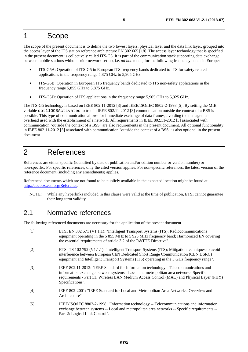# 1 Scope

The scope of the present document is to define the two lowest layers, physical layer and the data link layer, grouped into the access layer of the ITS station reference architecture EN 302 665 [i.8]. The access layer technology that is specified in the present document is collectively called ITS-G5. It is part of the communication stack supporting data exchange between mobile stations without prior network set-up, i.e. *ad hoc* mode, for the following frequency bands in Europe:

- ITS-G5A: Operation of ITS-G5 in European ITS frequency bands dedicated to ITS for safety related applications in the frequency range 5,875 GHz to 5,905 GHz.
- ITS-G5B: Operation in European ITS frequency bands dedicated to ITS non-safety applications in the frequency range 5,855 GHz to 5,875 GHz.
- ITS-G5D: Operation of ITS applications in the frequency range 5,905 GHz to 5,925 GHz.

The ITS-G5 technology is based on IEEE 802.11-2012 [3] and IEEE/ISO/IEC 8802-2-1998 [5]. By setting the MIB variable dot11OCBActivated to true in IEEE 802.11-2012 [3] communication outside the context of a BSS is possible. This type of communication allows for immediate exchange of data frames, avoiding the management overhead used with the establishment of a network. All requirements in IEEE 802.11-2012 [3] associated with communication "outside the context of a BSS" are also requirements in the present document. All optional functionality in IEEE 802.11-2012 [3] associated with communication "outside the context of a BSS" is also optional in the present document.

# 2 References

References are either specific (identified by date of publication and/or edition number or version number) or non-specific. For specific references, only the cited version applies. For non-specific references, the latest version of the reference document (including any amendments) applies.

Referenced documents which are not found to be publicly available in the expected location might be found at [http://docbox.etsi.org/Reference.](http://docbox.etsi.org/Reference)

NOTE: While any hyperlinks included in this clause were valid at the time of publication, ETSI cannot guarantee their long term validity.

### 2.1 Normative references

The following referenced documents are necessary for the application of the present document.

[1] ETSI EN 302 571 (V1.1.1): "Intelligent Transport Systems (ITS); Radiocommunications equipment operating in the 5 855 MHz to 5 925 MHz frequency band; Harmonized EN covering the essential requirements of article 3.2 of the R&TTE Directive". [2] ETSI TS 102 792 (V1.1.1): "Intelligent Transport Systems (ITS); Mitigation techniques to avoid interference between European CEN Dedicated Short Range Communication (CEN DSRC) equipment and Intelligent Transport Systems (ITS) operating in the 5 GHz frequency range". [3] IEEE 802.11-2012: "IEEE Standard for Information technology - Telecommunications and information exchange between systems - Local and metropolitan area networks-Specific requirements - Part 11: Wireless LAN Medium Access Control (MAC) and Physical Layer (PHY) Specifications". [4] IEEE 802-2001: "IEEE Standard for Local and Metropolitan Area Networks: Overview and Architecture". [5] IEEE/ISO/IEC 8802-2-1998: "Information technology -- Telecommunications and information exchange between systems -- Local and metropolitan area networks -- Specific requirements -- Part 2: Logical Link Control".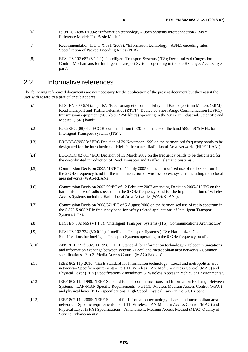- [6] ISO/IEC 7498-1:1994: "Information technology Open Systems Interconnection Basic Reference Model: The Basic Model".
- [7] Recommendation ITU-T X.691 (2008): "Information technology ASN.1 encoding rules: Specification of Packed Encoding Rules (PER)".
- [8] ETSI TS 102 687 (V1.1.1): "Intelligent Transport Systems (ITS); Decentralized Congestion Control Mechanisms for Intelligent Transport Systems operating in the 5 GHz range; Access layer part".

### 2.2 Informative references

The following referenced documents are not necessary for the application of the present document but they assist the user with regard to a particular subject area.

- [i.1] ETSI EN 300 674 (all parts): "Electromagnetic compatibility and Radio spectrum Matters (ERM); Road Transport and Traffic Telematics (RTTT); Dedicated Short Range Communication (DSRC) transmission equipment (500 kbit/s / 250 kbit/s) operating in the 5,8 GHz Industrial, Scientific and Medical (ISM) band".
- [i.2] ECC/REC/(08)01: "ECC Recommendation (08)01 on the use of the band 5855-5875 MHz for Intelligent Transport Systems (ITS)".
- [i.3] ERC/DEC(99)23: "ERC Decision of 29 November 1999 on the harmonised frequency bands to be designated for the introduction of High Performance Radio Local Area Networks (HIPERLANs)".
- [i.4] ECC/DEC(02)01: "ECC Decision of 15 March 2002 on the frequency bands to be designated for the co-ordinated introduction of Road Transport and Traffic Telematic Systems".
- [i.5] Commission Decision 2005/513/EC of 11 July 2005 on the harmonised use of radio spectrum in the 5 GHz frequency band for the implementation of wireless access systems including radio local area networks (WAS/RLANs).
- [i.6] Commission Decision 2007/90/EC of 12 February 2007 amending Decision 2005/513/EC on the harmonised use of radio spectrum in the 5 GHz frequency band for the implementation of Wireless Access Systems including Radio Local Area Networks (WAS/RLANs).
- [i.7] Commission Decision 2008/671/EC of 5 August 2008 on the harmonised use of radio spectrum in the 5 875-5 905 MHz frequency band for safety-related applications of Intelligent Transport Systems (ITS).
- [i.8] ETSI EN 302 665 (V1.1.1): "Intelligent Transport Systems (ITS); Communications Architecture".
- [i.9] ETSI TS 102 724 (V0.0.11): "Intelligent Transport Systems (ITS); Harmonized Channel Specifications for Intelligent Transport Systems operating in the 5 GHz frequency band".
- [i.10] ANSI/IEEE Std 802.1D 1998: "IEEE Standard for Information technology Telecommunications and information exchange between systems - Local and metropolitan area networks - Common specifications- Part 3: Media Access Control (MAC) Bridges".
- [i.11] IEEE 802.11p-2010: "IEEE Standard for Information technology-- Local and metropolitan area networks-- Specific requirements-- Part 11: Wireless LAN Medium Access Control (MAC) and Physical Layer (PHY) Specifications Amendment 6: Wireless Access in Vehicular Environments".
- [i.12] IEEE 802.11a-1999: "IEEE Standard for Telecommunications and Information Exchange Between Systems - LAN/MAN Specific Requirements - Part 11: Wireless Medium Access Control (MAC) and physical layer (PHY) specifications: High Speed Physical Layer in the 5 GHz band".
- [i.13] IEEE 802.11e-2005: "IEEE Standard for Information technology-- Local and metropolitan area networks-- Specific requirements-- Part 11: Wireless LAN Medium Access Control (MAC) and Physical Layer (PHY) Specifications - Amendment: Medium Access Method (MAC) Quality of Service Enhancements".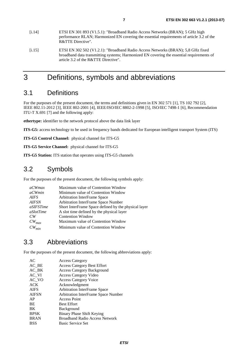- [i.14] ETSI EN 301 893 (V1.5.1): "Broadband Radio Access Networks (BRAN); 5 GHz high performance RLAN; Harmonized EN covering the essential requirements of article 3.2 of the R&TTE Directive".
- [i.15] ETSI EN 302 502 (V1.2.1): "Broadband Radio Access Networks (BRAN); 5,8 GHz fixed broadband data transmitting systems; Harmonized EN covering the essential requirements of article 3.2 of the R&TTE Directive".

# 3 Definitions, symbols and abbreviations

### 3.1 Definitions

For the purposes of the present document, the terms and definitions given in EN 302 571 [1], TS 102 792 [2], IEEE 802.11-2012 [3], IEEE 802-2001 [4], IEEE/ISO/IEC 8802-2-1998 [5], ISO/IEC 7498-1 [6], Recommendation ITU-T X.691 [7] and the following apply:

**ethertype:** identifier to the network protocol above the data link layer

**ITS-G5:** access technology to be used in frequency bands dedicated for European intelligent transport System (ITS)

**ITS-G5 Control Channel:** physical channel for ITS-G5

**ITS-G5 Service Channel:** physical channel for ITS-G5

**ITS-G5 Station:** ITS station that operates using ITS-G5 channels

### 3.2 Symbols

For the purposes of the present document, the following symbols apply:

| <i>a</i> CWmax   | Maximum value of Contention Window                   |
|------------------|------------------------------------------------------|
| <i>aCWmin</i>    | Minimum value of Contention Window                   |
| AIFS             | <b>Arbitration InterFrame Space</b>                  |
| <i>AIFSN</i>     | Arbitration InterFrame Space Number                  |
| <i>aSIFSTime</i> | Short InterFrame Space defined by the physical layer |
| aSlotTime        | A slot time defined by the physical layer            |
| CW               | <b>Contention Window</b>                             |
| $CW_{max}$       | Maximum value of Contention Window                   |
| $CW_{min}$       | Minimum value of Contention Window                   |

### 3.3 Abbreviations

For the purposes of the present document, the following abbreviations apply:

| AC           | <b>Access Category</b>                |
|--------------|---------------------------------------|
| AC BE        | <b>Access Category Best Effort</b>    |
| $AC$ $BK$    | <b>Access Category Background</b>     |
| AC VI        | <b>Access Category Video</b>          |
| AC VO        | <b>Access Category Voice</b>          |
| <b>ACK</b>   | Acknowledgment                        |
| <b>AIFS</b>  | Arbitration InterFrame Space          |
| <b>AIFSN</b> | Arbitration InterFrame Space Number   |
| AP           | <b>Access Point</b>                   |
| BE           | <b>Best Effort</b>                    |
| BK           | Background                            |
| <b>BPSK</b>  | Binary Phase Shift Keying             |
| <b>BRAN</b>  | <b>Broadband Radio Access Network</b> |
| <b>BSS</b>   | <b>Basic Service Set</b>              |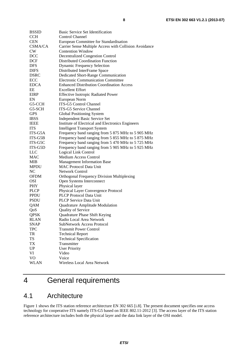| <b>BSSID</b>   | Basic Service Set Identification                       |
|----------------|--------------------------------------------------------|
| <b>CCH</b>     | <b>Control Channel</b>                                 |
| <b>CEN</b>     | European Committee for Standardisation                 |
| <b>CSMA/CA</b> | Carrier Sense Multiple Access with Collision Avoidance |
| CW             | <b>Contention Window</b>                               |
| DCC            | <b>Decentralized Congestion Control</b>                |
| <b>DCF</b>     | Distributed Coordination Function                      |
| DFS            | <b>Dynamic Frequency Selection</b>                     |
| <b>DIFS</b>    | Distributed InterFrame Space                           |
| <b>DSRC</b>    | Dedicated Short-Range Communication                    |
| ECC            | <b>Electronic Communication Committee</b>              |
| <b>EDCA</b>    | <b>Enhanced Distribution Coordination Access</b>       |
| EЕ             | <b>Excellent Effort</b>                                |
| <b>EIRP</b>    | <b>Effective Isotropic Radiated Power</b>              |
| EN             | European Norm                                          |
| G5-CCH         | <b>ITS-G5 Control Channel</b>                          |
| G5-SCH         | <b>ITS-G5 Service Channel</b>                          |
| <b>GPS</b>     | Global Positioning System                              |
| <b>IBSS</b>    | Independent Basic Service Set                          |
| <b>IEEE</b>    | Institute of Electrical and Electronics Engineers      |
| <b>ITS</b>     | <b>Intelligent Transport System</b>                    |
| ITS-G5A        | Frequency band ranging from 5 875 MHz to 5 905 MHz     |
| ITS-G5B        | Frequency band ranging from 5 855 MHz to 5 875 MHz     |
| ITS-G5C        | Frequency band ranging from 5 470 MHz to 5 725 MHz     |
| ITS-G5D        | Frequency band ranging from 5 905 MHz to 5 925 MHz     |
| LLC            | Logical Link Control                                   |
| MAC            | <b>Medium Access Control</b>                           |
| MIB            | <b>Management Information Base</b>                     |
| <b>MPDU</b>    | <b>MAC Protocol Data Unit</b>                          |
| NC             | <b>Network Control</b>                                 |
| <b>OFDM</b>    | <b>Orthogonal Frequency Division Multiplexing</b>      |
| <b>OSI</b>     | Open Systems Interconnect                              |
| <b>PHY</b>     | Physical layer                                         |
| <b>PLCP</b>    | Physical Layer Convergence Protocol                    |
| <b>PPDU</b>    | PLCP Protocol Data Unit                                |
| <b>PSDU</b>    | <b>PLCP</b> Service Data Unit                          |
| QAM            | Quadrature Amplitude Modulation                        |
| QoS            | Quality of Service                                     |
| <b>QPSK</b>    | Quadrature Phase Shift Keying                          |
| RLAN           | Radio Local Area Network                               |
| <b>SNAP</b>    | <b>SubNetwork Access Protocol</b>                      |
| <b>TPC</b>     | <b>Transmit Power Control</b>                          |
| TR             | <b>Technical Report</b>                                |
| <b>TS</b>      | <b>Technical Specification</b>                         |
| TX             | Transmitter                                            |
| UP             | <b>User Priority</b>                                   |
| VI             | Video                                                  |
| V <sub>O</sub> | Voice                                                  |
| <b>WLAN</b>    | Wireless Local Area Network                            |

# 4 General requirements

### 4.1 Architecture

Figure 1 shows the ITS station reference architecture EN 302 665 [i.8]. The present document specifies one access technology for cooperative ITS namely ITS-G5 based on IEEE 802.11-2012 [3]. The access layer of the ITS station reference architecture includes both the physical layer and the data link layer of the OSI model.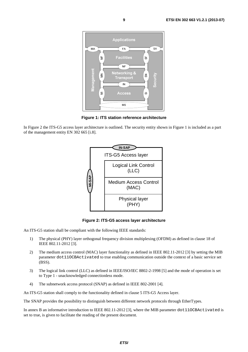

**Figure 1: ITS station reference architecture** 

In Figure 2 the ITS-G5 access layer architecture is outlined. The security entity shown in Figure 1 is included as a part of the management entity EN 302 665 [i.8].



**Figure 2: ITS-G5 access layer architecture** 

An ITS-G5 station shall be compliant with the following IEEE standards:

- 1) The physical (PHY) layer orthogonal frequency division multiplexing (OFDM) as defined in clause 18 of IEEE 802.11-2012 [3].
- 2) The medium access control (MAC) layer functionality as defined in IEEE 802.11-2012 [3] by setting the MIB parameter dot11OCBActivated to true enabling communication outside the context of a basic service set (BSS).
- 3) The logical link control (LLC) as defined in IEEE/ISO/IEC 8802-2-1998 [5] and the mode of operation is set to Type 1 - unacknowledged connectionless mode.
- 4) The subnetwork access protocol (SNAP) as defined in IEEE 802-2001 [4].

An ITS-G5 station shall comply to the functionality defined in clause 5 ITS-G5 Access layer.

The SNAP provides the possibility to distinguish between different network protocols through EtherTypes.

In annex B an informative introduction to IEEE 802.11-2012 [3], where the MIB parameter dot110CBActivated is set to true, is given to facilitate the reading of the present document.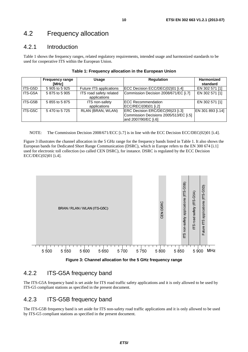### 4.2 Frequency allocation

### 4.2.1 Introduction

Table 1 shows the frequency ranges, related regulatory requirements, intended usage and harmonized standards to be used for cooperative ITS within the European Union.

|         | <b>Frequency range</b><br>[MHz] | Usage                                   | <b>Regulation</b>                                                                                  | <b>Harmonized</b><br>standard |
|---------|---------------------------------|-----------------------------------------|----------------------------------------------------------------------------------------------------|-------------------------------|
| ITS-G5D | 5 905 to 5 925                  | Future ITS applications                 | ECC Decision ECC/DEC(02)01 [i.4]                                                                   | EN 302 571 [1]                |
| ITS-G5A | 5 875 to 5 905                  | ITS road safety related<br>applications | Commission Decision 2008/671/EC [i.7]                                                              | EN 302 571 [1]                |
| ITS-G5B | 5 855 to 5 875                  | ITS non-safety<br>applications          | <b>IECC Recommendation</b><br>ECC/REC/(08)01 [i.2]                                                 | EN 302 571 [1]                |
| ITS-G5C | 5470 to 5725                    | RLAN (BRAN, WLAN)                       | ERC Decision ERC/DEC(99)23 [i.3]<br>Commission Decisions 2005/513/EC [i.5]<br>and 2007/90/EC [i.6] | EN 301 893 [i.14]             |

NOTE: The Commission Decision 2008/671/ECC [i.7] is in line with the ECC Decision ECC/DEC(02)01 [i.4].

Figure 3 illustrates the channel allocation in the 5 GHz range for the frequency bands listed in Table 1. It also shows the European bands for Dedicated Short Range Communication (DSRC), which in Europe refers to the EN 300 674 [i.1] used for electronic toll collection (so called CEN DSRC), for instance. DSRC is regulated by the ECC Decision ECC/DEC(02)01 [i.4].



**Figure 3: Channel allocation for the 5 GHz frequency range** 

### 4.2.2 ITS-G5A frequency band

The ITS-G5A frequency band is set aside for ITS road traffic safety applications and it is only allowed to be used by ITS-G5 compliant stations as specified in the present document.

### 4.2.3 ITS-G5B frequency band

The ITS-G5B frequency band is set aside for ITS non-safety road traffic applications and it is only allowed to be used by ITS-G5 compliant stations as specified in the present document.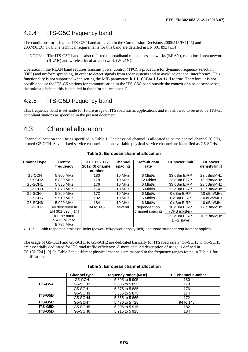### 4.2.4 ITS-G5C frequency band

The conditions for using the ITS-G5C band are given in the Commission Decisions 2005/513/EC [i.5] and 2007/90/EC [i.6]. The technical requirements for this band are detailed in EN 301 893 [i.14].

NOTE: The ITS-G5C band is also referred to broadband radio access networks (BRAN), radio local area network (RLAN) and wireless local area network (WLAN).

Operation in the RLAN band requires transmit power control (TPC), a procedure for dynamic frequency selection (DFS) and uniform spreading, in order to detect signals from radar systems and to avoid co-channel interference. This functionality is not supported when setting the MIB parameter dot11OCBActivated to true. Therefore, it is not possible to use the ITS-G5 stations for communication in the ITS-G5C band outside the context of a basic service set, the rationale behind this is detailed in the informative annex C.

### 4.2.5 ITS-G5D frequency band

This frequency band is set aside for future usage of ITS road traffic applications and it is allowed to be used by ITS-G5 compliant stations as specified in the present document.

### 4.3 Channel allocation

Channel allocation shall be as specified in Table 1. One physical channel is allocated to be the control channel (CCH), termed G5-CCH. Seven fixed service channels and one variable physical service channel are identified as G5-SCHs.

| <b>Channel type</b>                                                                                                 | <b>Centre</b>     | <b>IEEE 802.11-</b> | <b>Channel</b> | Default data    | TX power limit | <b>TX power</b> |  |
|---------------------------------------------------------------------------------------------------------------------|-------------------|---------------------|----------------|-----------------|----------------|-----------------|--|
|                                                                                                                     | frequency         | 2012 [3] channel    | spacing        | rate            |                | density limit   |  |
|                                                                                                                     |                   | number              |                |                 |                |                 |  |
| G5-CCH                                                                                                              | 5 900 MHz         | 180                 | 10 MHz         | 6 Mbit/s        | 33 dBm EIRP    | 23 dBm/MHz      |  |
| G5-SCH <sub>2</sub>                                                                                                 | 5 890 MHz         | 178                 | $10$ MHz       | 12 Mbit/s       | 23 dBm EIRP    | 13 dBm/MHz      |  |
| G5-SCH1                                                                                                             | 5 880 MHz         | 176                 | 10 MHz         | 6 Mbit/s        | 33 dBm EIRP    | 23 dBm/MHz      |  |
| G5-SCH3                                                                                                             | 5870 MHz          | 174                 | 10 MHz         | 6 Mbit/s        | 23 dBm EIRP    | 13 dBm/MHz      |  |
| G5-SCH4                                                                                                             | 5 860 MHz         | 172                 | $10$ MHz       | 6 Mbit/s        | 0 dBm EIRP     | $-10$ dBm/MHz   |  |
| G5-SCH5                                                                                                             | 5 910 MHz         | 182                 | 10 MHz         | 6 Mbit/s        | 0 dBm EIRP     | $-10$ dBm/MHz   |  |
| G5-SCH6                                                                                                             | 5 920 MHz         | 184                 | 10 MHz         | 6 Mbit/s        | 0 dBm EIRP     | $-10$ dBm/MHz   |  |
| G5-SCH7                                                                                                             | As described in   | 94 to 145           | several        | dependent on    | 30 dBm EIRP    | 17 dBm/MHz      |  |
|                                                                                                                     | EN 301 893 [i.14] |                     |                | channel spacing | (DFS master)   |                 |  |
|                                                                                                                     | for the band      |                     |                |                 | 23 dBm EIRP    | 10 dBm/MHz      |  |
|                                                                                                                     | 5470 MHz to       |                     |                |                 | (DFS slave)    |                 |  |
|                                                                                                                     | 5725 MHz          |                     |                |                 |                |                 |  |
| NOTE:<br>With respect to emission limits (power limit/power density limit), the more stringent requirement applies. |                   |                     |                |                 |                |                 |  |

#### **Table 2: European channel allocation**

The usage of G5-CCH and G5-SCH1 to G5-SCH2 are dedicated basically for ITS road safety. G5-SCH3 to G5-SCH5 are essentially dedicated for ITS road traffic efficiency. A more detailed description of usage is defined in TS 102 724 [i.9]. In Table 3 the different physical channels are mapped to the frequency ranges found in Table 1 for clarification.

|                | <b>Channel type</b> | <b>Frequency range [MHz]</b> | <b>IEEE channel number</b> |
|----------------|---------------------|------------------------------|----------------------------|
|                | G5-CCH              | 5 895 to 5 905               | 180                        |
| <b>ITS-G5A</b> | G5-SCH <sub>2</sub> | 5 885 to 5 895               | 178                        |
|                | G5-SCH1             | 5875 to 5885                 | 176                        |
| <b>ITS-G5B</b> | G5-SCH3             | 5 865 to 5 875               | 174                        |
|                | G5-SCH4             | 5 855 to 5 865               | 172                        |
| <b>ITS-G5C</b> | G5-SCH7             | 5470 to 5725                 | 94 to 145                  |
| <b>ITS-G5D</b> | G5-SCH5             | 5 905 to 5 915               | 182                        |
| <b>ITS-G5D</b> | G5-SCH6             | 5 915 to 5 925               | 184                        |

#### **Table 3: European channel allocation**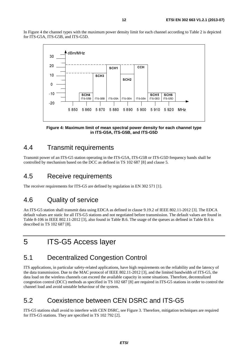In Figure 4 the channel types with the maximum power density limit for each channel according to Table 2 is depicted for ITS-G5A, ITS-G5B, and ITS-G5D.



**Figure 4: Maximum limit of mean spectral power density for each channel type in ITS-G5A, ITS-G5B, and ITS-G5D** 

### 4.4 Transmit requirements

Transmit power of an ITS-G5 station operating in the ITS-G5A, ITS-G5B or ITS-G5D frequency bands shall be controlled by mechanism based on the DCC as defined in TS 102 687 [8] and clause 5.

### 4.5 Receive requirements

The receiver requirements for ITS-G5 are defined by regulation in EN 302 571 [1].

### 4.6 Quality of service

An ITS-G5 station shall transmit data using EDCA as defined in clause 9.19.2 of IEEE 802.11-2012 [3]. The EDCA default values are static for all ITS-G5 stations and not negotiated before transmission. The default values are found in Table 8-106 in IEEE 802.11-2012 [3], also found in Table B.6. The usage of the queues as defined in Table B.6 is described in TS 102 687 [8].

# 5 ITS-G5 Access layer

### 5.1 Decentralized Congestion Control

ITS applications, in particular safety-related applications, have high requirements on the reliability and the latency of the data transmission. Due to the MAC protocol of IEEE 802.11-2012 [3], and the limited bandwidth of ITS-G5, the data load on the wireless channels can exceed the available capacity in some situations. Therefore, decentralized congestion control (DCC) methods as specified in TS 102 687 [8] are required in ITS-G5 stations in order to control the channel load and avoid unstable behaviour of the system.

### 5.2 Coexistence between CEN DSRC and ITS-G5

ITS-G5 stations shall avoid to interfere with CEN DSRC, see Figure 3. Therefore, mitigation techniques are required for ITS-G5 stations. They are specified in TS 102 792 [2].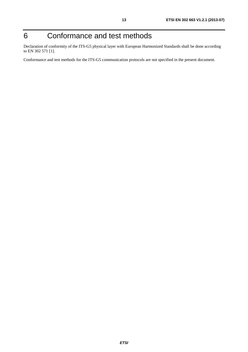# 6 Conformance and test methods

Declaration of conformity of the ITS-G5 physical layer with European Harmonized Standards shall be done according to EN 302 571 [1].

Conformance and test methods for the ITS-G5 communication protocols are not specified in the present document.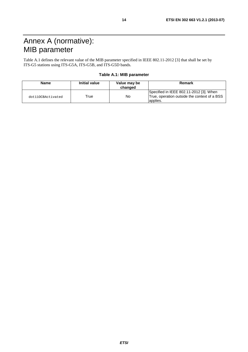# Annex A (normative): MIB parameter

Table A.1 defines the relevant value of the MIB parameter specified in IEEE 802.11-2012 [3] that shall be set by ITS-G5 stations using ITS-G5A, ITS-G5B, and ITS-G5D bands.

| Table A.1: MIB parameter |  |
|--------------------------|--|
|--------------------------|--|

| Name              | <b>Initial value</b> | Value may be<br>changed | Remark                                                                                              |
|-------------------|----------------------|-------------------------|-----------------------------------------------------------------------------------------------------|
| dot110CBActivated | True                 | No                      | Specified in IEEE 802.11-2012 [3]. When<br>True, operation outside the context of a BSS<br>applies. |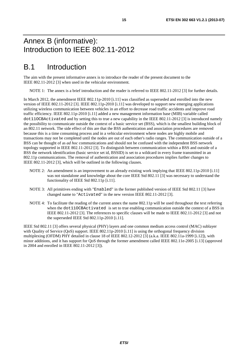# Annex B (informative): Introduction to IEEE 802.11-2012

# B.1 Introduction

The aim with the present informative annex is to introduce the reader of the present document to the IEEE 802.11-2012 [3] when used in the vehicular environment.

NOTE 1: The annex is a brief introduction and the reader is referred to IEEE 802.11-2012 [3] for further details.

In March 2012, the amendment IEEE 802.11p-2010 [i.11] was classified as superseded and enrolled into the new version of IEEE 802.11-2012 [3]. IEEE 802.11p-2010 [i.11] was developed to support new emerging applications utilizing wireless communication between vehicles in an effort to decrease road traffic accidents and improve road traffic efficiency. IEEE 802.11p-2010 [i.11] added a new management information base (MIB) variable called dot11OCBActivated and by setting this to true a new capability in the IEEE 802.11-2012 [3] is introduced namely the possibility to communicate outside the context of a basic service set (BSS), which is the smallest building block of an 802.11 network. The side effect of this are that the BSS authentication and association procedures are removed because this is a time consuming process and in a vehicular environment where nodes are highly mobile and transactions may not be completed until the nodes are out of each other's radio ranges. The communication outside of a BSS can be thought of as *ad hoc* communications and should not be confused with the independent BSS network topology supported in IEEE 802.11-2012 [3]. To distinguish between communication within a BSS and outside of a BSS the network identification (basic service set id, BSSID) is set to a wildcard in every frame transmitted in an 802.11p communications. The removal of authentication and association procedures implies further changes to IEEE 802.11-2012 [3], which will be outlined in the following clauses.

- NOTE 2: An amendment is an improvement to an already existing work implying that IEEE 802.11p-2010 [i.11] was not standalone and knowledge about the core IEEE Std 802.11 [3] was necessary to understand the functionality of IEEE Std 802.11p [i.11].
- NOTE 3: All primitives ending with "Enabled" in the former published version of IEEE Std 802.11 [3] have changed name to "Activated" in the new version IEEE 802.11-2012 [3].
- NOTE 4: To facilitate the reading of the current annex the name 802.11p will be used throughout the text referring when the dot11OCBActivated is set to true enabling communication outside the context of a BSS in IEEE 802.11-2012 [3]. The references to specific clauses will be made to IEEE 802.11-2012 [3] and not the superseded IEEE Std  $802.11p-2010$  [i.11].

IEEE Std 802.11 [3] offers several physical (PHY) layers and one common medium access control (MAC) sublayer with Quality of Service (QoS) support. IEEE 802.11p-2010 [i.11] is using the orthogonal frequency division multiplexing (OFDM) PHY detailed in clause 18 of IEEE 802.12-2012 [3] (a.k.a. IEEE 802.11a-1999 [i.12]), with minor additions, and it has support for QoS through the former amendment called IEEE 802.11e-2005 [i.13] (approved in 2004 and enrolled in IEEE 802.11-2012 [3]).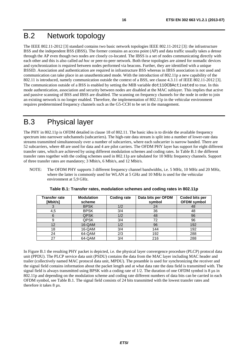# B.2 Network topology

The IEEE 802.11-2012 [3] standard contains two basic network topologies IEEE 802.11-2012 [3]: the infrastructure BSS and the independent BSS (IBSS). The former contains an access point (AP) and data traffic usually takes a detour through the AP even though two nodes are closely co-located. The IBSS is a set of nodes communicating directly with each other and this is also called *ad hoc* or peer-to-peer network. Both these topologies are aimed for nomadic devices and synchronization is required between nodes performed via beacons. Further, they are identified with a unique BSSID. Association and authentication are required in infrastructure BSS whereas in IBSS association is not used and communication can take place in an unauthenticated mode. With the introduction of 802.11p a new capability of the 802.11 is introduced, namely communication outside the context of a BSS, see clause 4.3.11 of IEEE 802.11-2012 [3]. The communication outside of a BSS is enabled by setting the MIB variable dot11OCBActivated to true. In this mode authentication, association and security between nodes are disabled at the MAC sublayer. This implies that active and passive scanning of BSS and IBSS are disabled. The scanning on frequency channels for the node in order to join an existing network is no longer enabled. Therefore, the implementation of 802.11p in the vehicular environment requires predetermined frequency channels such as the G5-CCH to be set in the management.

# B.3 Physical layer

The PHY in 802.11p is OFDM detailed in clause 18 of 802.11. The basic idea is to divide the available frequency spectrum into narrower subchannels (subcarriers). The high-rate data stream is split into a number of lower-rate data streams transmitted simultaneously over a number of subcarriers, where each subcarrier is narrow banded. There are 52 subcarriers, where 48 are used for data and 4 are pilot carriers. The OFDM PHY layer has support for eight different transfer rates, which are achieved by using different modulation schemes and coding rates. In Table B.1 the different transfer rates together with the coding schemes used in 802.11p are tabulated for 10 MHz frequency channels. Support of three transfer rates are mandatory; 3 Mbit/s, 6 Mbit/s, and 12 Mbit/s.

NOTE: The OFDM PHY supports 3 different frequency channel bandwidths, i.e. 5 MHz, 10 MHz and 20 MHz, where the latter is commonly used for WLAN at 5 GHz and 10 MHz is used for the vehicular environment at 5,9 GHz.

| Transfer rate | <b>Modulation</b> | <b>Coding rate</b> | Data bits per OFDM | Coded bits per     |
|---------------|-------------------|--------------------|--------------------|--------------------|
| [Mbit/s]      | scheme            |                    | symbol             | <b>OFDM</b> symbol |
|               | <b>BPSK</b>       | 1/2                | 24                 | 48                 |
| 4,5           | <b>BPSK</b>       | 3/4                | 36                 | 48                 |
|               | <b>QPSK</b>       | 1/2                | 48                 | 96                 |
|               | <b>QPSK</b>       | 3/4                | 72                 | 96                 |
| 12            | 16-QAM            | 1/2                | 96                 | 192                |
| 18            | 16-QAM            | 3/4                | 144                | 192                |
| 24            | 64-QAM            | 2/3                | 192                | 288                |
| 27            | 64-QAM            | 3/4                | 216                | 288                |

**Table B.1: Transfer rates, modulation schemes and coding rates in 802.11p** 

In Figure B.1 the resulting PHY packet is depicted, i.e. the physical layer convergence procedure (PLCP) protocol data unit (PPDU). The PLCP service data unit (PSDU) contains the data from the MAC layer including MAC header and trailer (collectively named MAC protocol data unit, MPDU). The preamble is used for synchronizing the receiver and the signal field contains information about the packet length and at what data rate the data field is transmitted with. The signal field is always transmitted using BPSK with a coding rate of  $1/2$ . The duration of one OFDM symbol is 8  $\mu$ s in 802.11p and depending on the modulation scheme and coding rate different numbers of data bits can be carried in each OFDM symbol, see Table B.1. The signal field consists of 24 bits transmitted with the lowest transfer rates and therefore it takes 8 µs.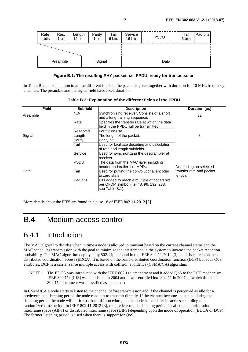| Rate<br>4 bits     | Res.<br>1 bit | Length<br>12 bits |  | Parity<br>1 bit | Tail<br>6 bits | Service<br>16 bits | <b>PSDU</b> | Tail<br>6 bits | Pad bits |
|--------------------|---------------|-------------------|--|-----------------|----------------|--------------------|-------------|----------------|----------|
|                    |               |                   |  |                 |                |                    |             |                |          |
| Signal<br>Preamble |               |                   |  | Data            |                |                    |             |                |          |

#### **Figure B.1: The resulting PHY packet, i.e. PPDU, ready for transmission**

In Table B.2 an explanation to all the different fields in the packet is given together with duration for 10 MHz frequency channels. The preamble and the signal field have fixed duration.

| <b>Field</b>                                     | <b>Subfield</b> | <b>Description</b>                                                                                         | Duration [µs]                                                |  |
|--------------------------------------------------|-----------------|------------------------------------------------------------------------------------------------------------|--------------------------------------------------------------|--|
| N/A<br>Preamble<br>and a long training sequence. |                 | Synchronizing receiver. Consists of a short                                                                | 32                                                           |  |
|                                                  | Rate            | Specifies the transfer rate at which the data<br>field in the PPDU will be transmitted.                    |                                                              |  |
|                                                  | Reserved        | For future use.                                                                                            |                                                              |  |
| Signal                                           | Length          | The length of the packet.                                                                                  | 8                                                            |  |
|                                                  | Parity          | Parity bit.                                                                                                |                                                              |  |
|                                                  | Tail            | Used for facilitate decoding and calculation<br>of rate and length subfields.                              |                                                              |  |
|                                                  | Service         | Used for synchronizing the descrambler at<br>receiver.                                                     |                                                              |  |
|                                                  | <b>PSDU</b>     | The data from the MAC layer including<br>header and trailer, <i>i.e.</i> MPDU.                             | Depending on selected<br>transfer rate and packet<br>length. |  |
| Data                                             | Tail            | Used for putting the convolutional encoder<br>to zero state.                                               |                                                              |  |
|                                                  | Pad bits        | Bits added to reach a multiple of coded bits<br>per OFDM symbol (i.e. 48, 96, 192, 288,<br>see Table B.1). |                                                              |  |

|  |  |  |  | Table B.2: Explanation of the different fields of the PPDU |
|--|--|--|--|------------------------------------------------------------|
|--|--|--|--|------------------------------------------------------------|

More details about the PHY are found in clause 18 of IEEE 802.11-2012 [3].

### B.4 Medium access control

### B.4.1 Introduction

The MAC algorithm decides when in time a node is allowed to transmit based on the current channel status and the MAC schedules transmission with the goal to minimize the interference in the system to increase the packet reception probability. The MAC algorithm deployed by 802.11p is found in the IEEE 802.11-2012 [3] and it is called enhanced distributed coordination access (EDCA). It is based on the basic distributed coordination function (DCF) but adds QoS attributes. DCF is a carrier sense multiple access with collision avoidance (CSMA/CA) algorithm.

NOTE: The EDCA was introduced with the IEEE 802.11e amendment and it added QoS to the DCF mechanism. IEEE 802.11e [i.13] was published in 2004 and it was enrolled into 802.11 in 2007, at which time the 802.11e document was classified as superseded.

In CSMA/CA a node starts to listen to the channel before transmission and if the channel is perceived as idle for a predetermined listening period the node can start to transmit directly. If the channel becomes occupied during the listening period the node will perform a backoff procedure, i.e. the node has to defer its access according to a randomized time period. In IEEE 802.11-2012 [3], the predetermined listening period is called either arbitration interframe space (AIFS) or distributed interframe space (DIFS) depending upon the mode of operation (EDCA or DCF). The former listening period is used when there is support for QoS.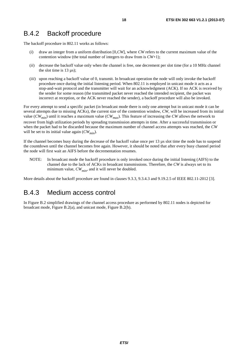### B.4.2 Backoff procedure

The backoff procedure in 802.11 works as follows:

- (*i*) draw an integer from a uniform distribution [0,*CW*], where *CW* refers to the current maximum value of the contention window (the total number of integers to draw from is *CW*+1);
- (*ii*) decrease the backoff value only when the channel is free, one decrement per slot time (for a 10 MHz channel the slot time is  $13 \mu s$ ;
- (*iii*) upon reaching a backoff value of 0, transmit. In broadcast operation the node will only invoke the backoff procedure once during the initial listening period. When 802.11 is employed in unicast mode it acts as a stop-and-wait protocol and the transmitter will wait for an acknowledgment (ACK). If no ACK is received by the sender for some reason (the transmitted packet never reached the intended recipient, the packet was incorrect at reception, or the ACK never reached the sender), a backoff procedure will also be invoked.

For every attempt to send a specific packet (in broadcast mode there is only one attempt but in unicast mode it can be several attempts due to missing ACKs), the current size of the contention window, *CW*, will be increased from its initial value (*CWmin*) until it reaches a maximum value (*CWmax*). This feature of increasing the *CW* allows the network to recover from high utilization periods by spreading transmission attempts in time. After a successful transmission or when the packet had to be discarded because the maximum number of channel access attempts was reached, the *CW* will be set to its initial value again  $(CW_{min})$ .

If the channel becomes busy during the decrease of the backoff value once per 13 µs slot time the node has to suspend the countdown until the channel becomes free again. However, it should be noted that after every busy channel period the node will first wait an AIFS before the decrementation resumes.

NOTE: In broadcast mode the backoff procedure is only invoked once during the initial listening (AIFS) to the channel due to the lack of ACKs in broadcast transmissions. Therefore, the *CW* is always set to its minimum value,  $CW_{min}$ , and it will never be doubled.

More details about the backoff procedure are found in clauses 9.3.3, 9.3.4.3 and 9.19.2.5 of IEEE 802.11-2012 [3].

### B.4.3 Medium access control

In Figure B.2 simplified drawings of the channel access procedure as performed by 802.11 nodes is depicted for broadcast mode, Figure B.2(a), and unicast mode, Figure B.2(b).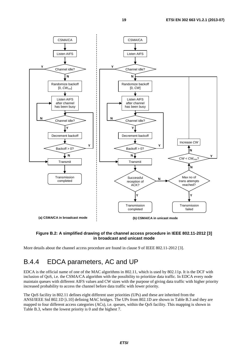

#### **Figure B.2: A simplified drawing of the channel access procedure in IEEE 802.11-2012 [3] in broadcast and unicast mode**

More details about the channel access procedure are found in clause 9 of IEEE 802.11-2012 [3].

### B.4.4 EDCA parameters, AC and UP

EDCA is the official name of one of the MAC algorithms in 802.11, which is used by 802.11p. It is the DCF with inclusion of QoS, i.e. the CSMA/CA algorithm with the possibility to prioritize data traffic. In EDCA every node maintain queues with different AIFS values and CW sizes with the purpose of giving data traffic with higher priority increased probability to access the channel before data traffic with lower priority.

The QoS facility in 802.11 defines eight different user priorities (UPs) and these are inherited from the ANSI/IEEE Std 802.1D [i.10] defining MAC bridges. The UPs from 802.1D are shown in Table B.3 and they are mapped to four different access categories (ACs), i.e. queues, within the QoS facility. This mapping is shown in Table B.3, where the lowest priority is 0 and the highest 7.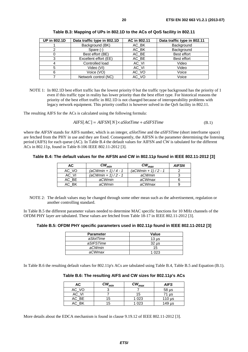| <b>UP in 802.1D</b> | Data traffic type in 802.1D | AC in 802.11 | Data traffic type in 802.11 |
|---------------------|-----------------------------|--------------|-----------------------------|
|                     | Background (BK)             | AC_BK        | Background                  |
|                     | Spare (-)                   | AC BK        | Background                  |
| O                   | Best effort (BE)            | AC BE        | Best effort                 |
| 3                   | Excellent effort (EE)       | AC_BE        | Best effort                 |
| 4                   | Controlled load             | AC_VI        | Video                       |
| 5                   | Video (VI)                  | AC_VI        | Video                       |
| 6                   | Voice (VO)                  | AC_VO        | Voice                       |
|                     | Network control (NC)        | AC_VO        | Voice                       |

**Table B.3: Mapping of UPs in 802.1D to the ACs of QoS facility in 802.11** 

NOTE 1: In 802.1D best effort traffic has the lowest priority 0 but the traffic type background has the priority of 1 even if this traffic type in reality has lower priority than the best effort type. For historical reasons the priority of the best effort traffic in 802.1D is not changed because of interoperability problems with legacy network equipment. This priority conflict is however solved in the QoS facility in 802.11.

The resulting AIFS for the ACs is calculated using the following formula:

$$
AIFS[AC] = AIFSN[N] \times aSlotTime + aSIFSTime
$$
 (B.1)

where the *AIFSN* stands for AIFS number, which is an integer, *aSlotTime* and the *aSIFSTime* (short interframe space) are fetched from the PHY in use and they are fixed. Consequently, the AIFSN is the parameter determining the listening period (AIFS) for each queue (AC). In Table B.4 the default values for AIFSN and CW is tabulated for the different ACs in 802.11p, found in Table 8-106 IEEE 802.11-2012 [3].

**Table B.4: The default values for the AIFSN and CW in 802.11p found in IEEE 802.11-2012 [3]** 

| AC.   | $\boldsymbol{C}\boldsymbol{W_{min}}$ | $\boldsymbol{\mathit{CW}}_{\textit{max}}$ | <b>AIFSN</b> |
|-------|--------------------------------------|-------------------------------------------|--------------|
| AC VO | $(aCWmin + 1)/4 - 1$                 | $(aCWmin + 1)/2 - 1$                      |              |
| AC VI | $(aCWmin + 1)/2 - 1$                 | aCWmin                                    |              |
| AC BE | aCWmin                               | aCWmax                                    |              |
| AC BK | aCWmin                               | aCWmax                                    |              |

NOTE 2: The default values may be changed through some other mean such as the advertisement, regulation or another controlling standard.

In Table B.5 the different parameter values needed to determine MAC specific functions for 10 MHz channels of the OFDM PHY layer are tabulated. These values are fetched from Table 18-17 in IEEE 802.11-2012 [3].

**Table B.5: OFDM PHY specific parameters used in 802.11p found in IEEE 802.11-2012 [3]** 

| <b>Parameter</b> | <b>Value</b>     |
|------------------|------------------|
| aSlotTime        | 13 <sub>us</sub> |
| aSIFSTime        | 32 us            |
| aCWmin           | 15               |
| aCWmax           | 1 023            |

In Table B.6 the resulting default values for 802.11p's ACs are tabulated using Table B.4, Table B.5 and Equation (B.1).

**Table B.6: The resulting AIFS and CW sizes for 802.11p's ACs** 

| АC        | $\boldsymbol{\mathsf{CW}}_{\sf min}$ | $\boldsymbol{C}\boldsymbol{W}_{\boldsymbol{max}}$ | <b>AIFS</b> |
|-----------|--------------------------------------|---------------------------------------------------|-------------|
| AC_VO     |                                      |                                                   | $58 \mu s$  |
| AC_VI     |                                      | 15                                                | 71 µs       |
| $AC$ $BE$ | 15                                   | 1 0 2 3                                           | 110 $\mu$ s |
| AC_BK     | ט ו                                  | l 023                                             | $149$ µs    |

More details about the EDCA mechanism is found in clause 9.19.12 of IEEE 802.11-2012 [3].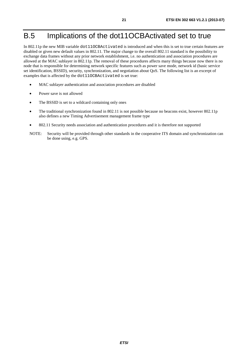# B.5 Implications of the dot11OCBActivated set to true

In 802.11p the new MIB variable dot11OCBActivated is introduced and when this is set to true certain features are disabled or given new default values in 802.11. The major change to the overall 802.11 standard is the possibility to exchange data frames without any prior network establishment, i.e. no authentication and association procedures are allowed at the MAC sublayer in 802.11p. The removal of these procedures affects many things because now there is no node that is responsible for determining network specific features such as power save mode, network id (basic service set identification, BSSID), security, synchronization, and negotiation about QoS. The following list is an excerpt of examples that is affected by the dot11OCBActivated is set true:

- MAC sublayer authentication and association procedures are disabled
- Power save is not allowed
- The BSSID is set to a wildcard containing only ones
- The traditional synchronization found in 802.11 is not possible because no beacons exist, however 802.11p also defines a new Timing Advertisement management frame type
- 802.11 Security needs association and authentication procedures and it is therefore not supported
- NOTE: Security will be provided through other standards in the cooperative ITS domain and synchronization can be done using, e.g. GPS.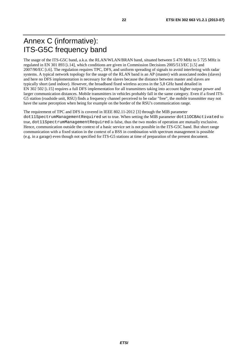# Annex C (informative): ITS-G5C frequency band

The usage of the ITS-G5C band, a.k.a. the RLAN/WLAN/BRAN band, situated between 5 470 MHz to 5 725 MHz is regulated in EN 301 893 [i.14], which conditions are given in Commission Decisions 2005/513/EC [i.5] and 2007/90/EC [i.6]. The regulation requires TPC, DFS, and uniform spreading of signals to avoid interfering with radar systems. A typical network topology for the usage of the RLAN band is an AP (master) with associated nodes (slaves) and here no DFS implementation is necessary for the slaves because the distance between master and slaves are typically short (and indoor). However, the broadband fixed wireless access in the 5,8 GHz band detailed in EN 302 502 [i.15] requires a full DFS implementation for all transmitters taking into account higher output power and larger communication distances. Mobile transmitters in vehicles probably fall in the same category. Even if a fixed ITS-G5 station (roadside unit, RSU) finds a frequency channel perceived to be radar "free", the mobile transmitter may not have the same perception when being for example on the border of the RSU's communication range.

The requirement of TPC and DFS is covered in IEEE 802.11-2012 [3] through the MIB parameter

dot11SpectrumManagementRequired set to true. When setting the MIB parameter dot11OCBActivated to true, dot11SpectrumManagementRequired is false, thus the two modes of operation are mutually exclusive. Hence, communication outside the context of a basic service set is not possible in the ITS-G5C band. But short range communication with a fixed station in the context of a BSS in combination with spectrum management is possible (e.g. in a garage) even though not specified for ITS-G5 stations at time of preparation of the present document.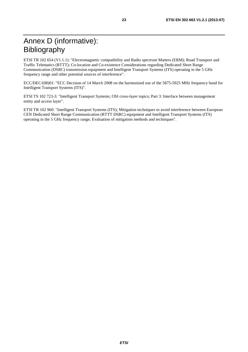ETSI TR 102 654 (V1.1.1): "Electromagnetic compatibility and Radio spectrum Matters (ERM); Road Transport and Traffic Telematics (RTTT); Co-location and Co-existence Considerations regarding Dedicated Short Range Communication (DSRC) transmission equipment and Intelligent Transport Systems (ITS) operating in the 5 GHz frequency range and other potential sources of interference".

ECC/DEC/(08)01: "ECC Decision of 14 March 2008 on the harmonised use of the 5875-5925 MHz frequency band for Intelligent Transport Systems (ITS)".

ETSI TS 102 723-3: "Intelligent Transport Systems; OSI cross-layer topics; Part 3: Interface between management entity and access layer".

ETSI TR 102 960: "Intelligent Transport Systems (ITS); Mitigation techniques to avoid interference between European CEN Dedicated Short Range Communication (RTTT DSRC) equipment and Intelligent Transport Systems (ITS) operating in the 5 GHz frequency range; Evaluation of mitigation methods and techniques".